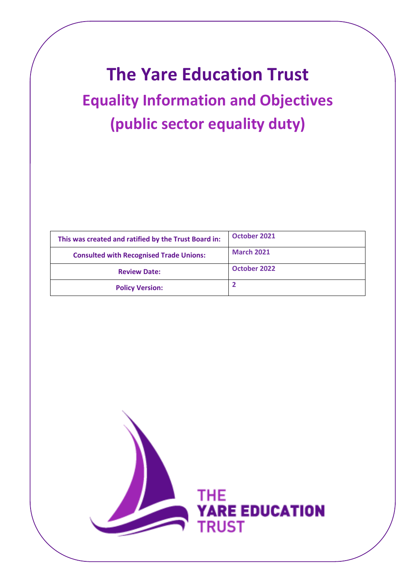# **The Yare Education Trust Equality Information and Objectives (public sector equality duty)**

| This was created and ratified by the Trust Board in: | October 2021      |
|------------------------------------------------------|-------------------|
| <b>Consulted with Recognised Trade Unions:</b>       | <b>March 2021</b> |
| <b>Review Date:</b>                                  | October 2022      |
| <b>Policy Version:</b>                               |                   |

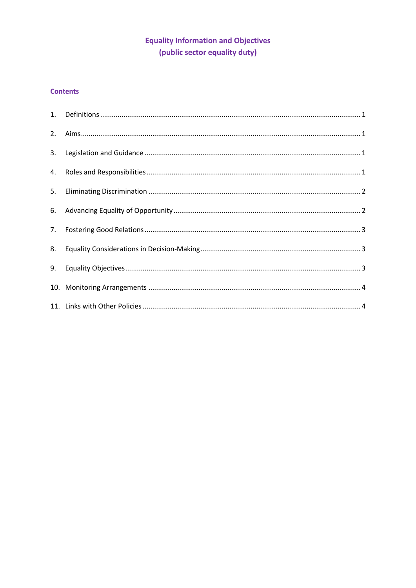## **Equality Information and Objectives** (public sector equality duty)

## **Contents**

| 2. |  |
|----|--|
|    |  |
|    |  |
| 5. |  |
|    |  |
| 7. |  |
| 8. |  |
| 9. |  |
|    |  |
|    |  |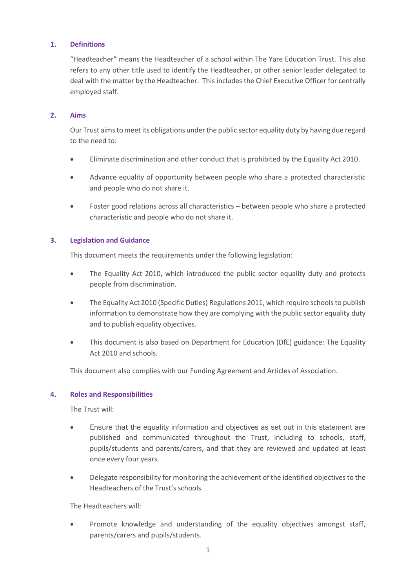## **1. Definitions**

"Headteacher" means the Headteacher of a school within The Yare Education Trust. This also refers to any other title used to identify the Headteacher, or other senior leader delegated to deal with the matter by the Headteacher. This includes the Chief Executive Officer for centrally employed staff.

### **2. Aims**

Our Trust aims to meet its obligations under the public sector equality duty by having due regard to the need to:

- Eliminate discrimination and other conduct that is prohibited by the Equality Act 2010.
- Advance equality of opportunity between people who share a protected characteristic and people who do not share it.
- Foster good relations across all characteristics between people who share a protected characteristic and people who do not share it.

#### **3. Legislation and Guidance**

This document meets the requirements under the following legislation:

- The [Equality Act 2010,](http://www.legislation.gov.uk/ukpga/2010/15/contents) which introduced the public sector equality duty and protects people from discrimination.
- [The Equality Act 2010 \(Specific Duties\) Regulations 2011,](http://www.legislation.gov.uk/uksi/2011/2260/contents/made) which require schools to publish information to demonstrate how they are complying with the public sector equality duty and to publish equality objectives.
- This document is also based on Department for Education (DfE) guidance: [The Equality](https://www.gov.uk/government/uploads/system/uploads/attachment_data/file/315587/Equality_Act_Advice_Final.pdf)  [Act 2010 and schools.](https://www.gov.uk/government/uploads/system/uploads/attachment_data/file/315587/Equality_Act_Advice_Final.pdf)

This document also complies with our Funding Agreement and Articles of Association.

#### **4. Roles and Responsibilities**

The Trust will:

- Ensure that the equality information and objectives as set out in this statement are published and communicated throughout the Trust, including to schools, staff, pupils/students and parents/carers, and that they are reviewed and updated at least once every four years.
- Delegate responsibility for monitoring the achievement of the identified objectives to the Headteachers of the Trust's schools.

The Headteachers will:

Promote knowledge and understanding of the equality objectives amongst staff, parents/carers and pupils/students.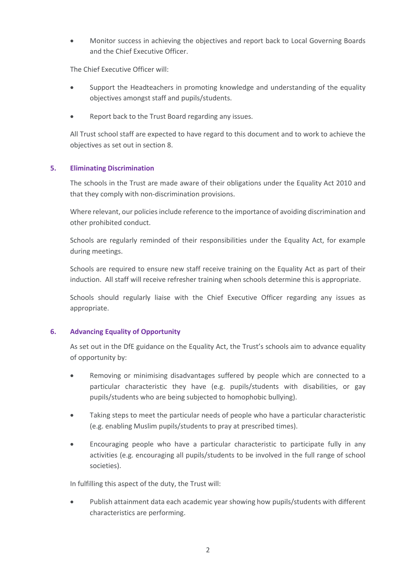• Monitor success in achieving the objectives and report back to Local Governing Boards and the Chief Executive Officer.

The Chief Executive Officer will:

- Support the Headteachers in promoting knowledge and understanding of the equality objectives amongst staff and pupils/students.
- Report back to the Trust Board regarding any issues.

All Trust school staff are expected to have regard to this document and to work to achieve the objectives as set out in section 8.

## **5. Eliminating Discrimination**

The schools in the Trust are made aware of their obligations under the Equality Act 2010 and that they comply with non-discrimination provisions.

Where relevant, our policies include reference to the importance of avoiding discrimination and other prohibited conduct.

Schools are regularly reminded of their responsibilities under the Equality Act, for example during meetings.

Schools are required to ensure new staff receive training on the Equality Act as part of their induction. All staff will receive refresher training when schools determine this is appropriate.

Schools should regularly liaise with the Chief Executive Officer regarding any issues as appropriate.

## **6. Advancing Equality of Opportunity**

As set out in the DfE guidance on the Equality Act, the Trust's schools aim to advance equality of opportunity by:

- Removing or minimising disadvantages suffered by people which are connected to a particular characteristic they have (e.g. pupils/students with disabilities, or gay pupils/students who are being subjected to homophobic bullying).
- Taking steps to meet the particular needs of people who have a particular characteristic (e.g. enabling Muslim pupils/students to pray at prescribed times).
- Encouraging people who have a particular characteristic to participate fully in any activities (e.g. encouraging all pupils/students to be involved in the full range of school societies).

In fulfilling this aspect of the duty, the Trust will:

• Publish attainment data each academic year showing how pupils/students with different characteristics are performing.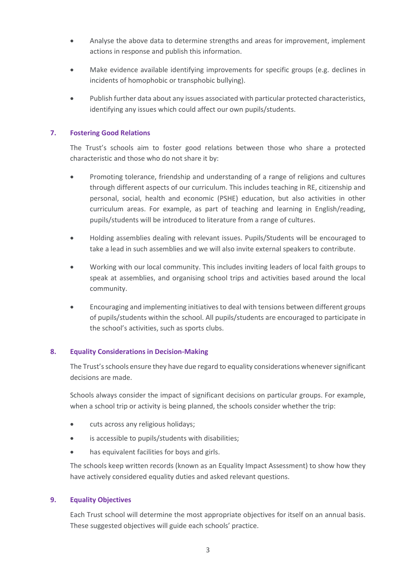- Analyse the above data to determine strengths and areas for improvement, implement actions in response and publish this information.
- Make evidence available identifying improvements for specific groups (e.g. declines in incidents of homophobic or transphobic bullying).
- Publish further data about any issues associated with particular protected characteristics, identifying any issues which could affect our own pupils/students.

## **7. Fostering Good Relations**

The Trust's schools aim to foster good relations between those who share a protected characteristic and those who do not share it by:

- Promoting tolerance, friendship and understanding of a range of religions and cultures through different aspects of our curriculum. This includes teaching in RE, citizenship and personal, social, health and economic (PSHE) education, but also activities in other curriculum areas. For example, as part of teaching and learning in English/reading, pupils/students will be introduced to literature from a range of cultures.
- Holding assemblies dealing with relevant issues. Pupils/Students will be encouraged to take a lead in such assemblies and we will also invite external speakers to contribute.
- Working with our local community. This includes inviting leaders of local faith groups to speak at assemblies, and organising school trips and activities based around the local community.
- Encouraging and implementing initiatives to deal with tensions between different groups of pupils/students within the school. All pupils/students are encouraged to participate in the school's activities, such as sports clubs.

## **8. Equality Considerations in Decision-Making**

The Trust's schools ensure they have due regard to equality considerations whenever significant decisions are made.

Schools always consider the impact of significant decisions on particular groups. For example, when a school trip or activity is being planned, the schools consider whether the trip:

- cuts across any religious holidays;
- is accessible to pupils/students with disabilities;
- has equivalent facilities for boys and girls.

The schools keep written records (known as an Equality Impact Assessment) to show how they have actively considered equality duties and asked relevant questions.

#### **9. Equality Objectives**

Each Trust school will determine the most appropriate objectives for itself on an annual basis. These suggested objectives will guide each schools' practice.